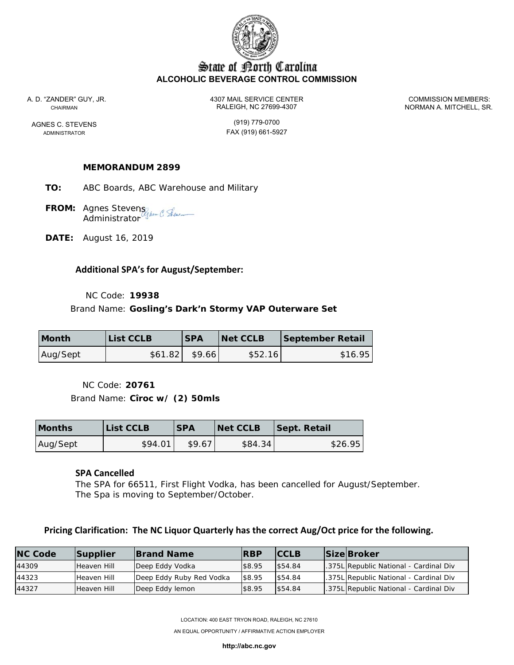

# State of Borth Carolina **ALCOHOLIC BEVERAGE CONTROL COMMISSION**

A. D. "ZANDER" GUY, JR. 4307 MAIL SERVICE CENTER COMMISSION MEMBERS: CHAIRMAN CHAIRMAN RALEIGH, NC 27699-4307 NORMAN A. MITCHELL, SR.

AGNES C. STEVENS (919) 779-0700 ADMINISTRATOR **FAX** (919) 661-5927

## **MEMORANDUM 2899**

- **TO:** ABC Boards, ABC Warehouse and Military
- **FROM:** Agnes Stevens **Administrator**
- **DATE:** August 16, 2019

## **Additional SPA's for August/September:**

### NC Code: **19938**

## Brand Name: **Gosling's Dark'n Stormy VAP Outerware Set**

| <b>Month</b> | <b>List CCLB</b> | <b>SPA</b> | Net CCLB | September Retail |  |
|--------------|------------------|------------|----------|------------------|--|
| Aug/Sept     | \$61.82          | \$9.66     | \$52.16  | \$16.95          |  |

NC Code: **20761**

Brand Name: **Cîroc w/ (2) 50mls**

| <b>Months</b> | <b>List CCLB</b> | <b>SPA</b> | <b>Net CCLB</b> | Sept. Retail |  |
|---------------|------------------|------------|-----------------|--------------|--|
| Aug/Sept      | \$94.01          | \$9.671    | \$84.34         | \$26.95      |  |

## **SPA Cancelled**

 The SPA for 66511, First Flight Vodka, has been cancelled for August/September. The Spa is moving to September/October.

## **Pricing Clarification: The NC Liquor Quarterly has the correct Aug/Oct price for the following.**

| <b>NC Code</b> | Supplier    | <b>Brand Name</b>        | <b>RBP</b> | <b>CCLB</b> | <b>Size Broker</b>                     |
|----------------|-------------|--------------------------|------------|-------------|----------------------------------------|
| 44309          | Heaven Hill | Deep Eddy Vodka          | \$8.95     | \$54.84     | .375L Republic National - Cardinal Div |
| 44323          | Heaven Hill | Deep Eddy Ruby Red Vodka | \$8.95     | \$54.84     | .375L Republic National - Cardinal Div |
| 44327          | Heaven Hill | Deep Eddy lemon          | \$8.95     | \$54.84     | .375L Republic National - Cardinal Div |

LOCATION: 400 EAST TRYON ROAD, RALEIGH, NC 27610

AN EQUAL OPPORTUNITY / AFFIRMATIVE ACTION EMPLOYER

**http://abc.nc.gov**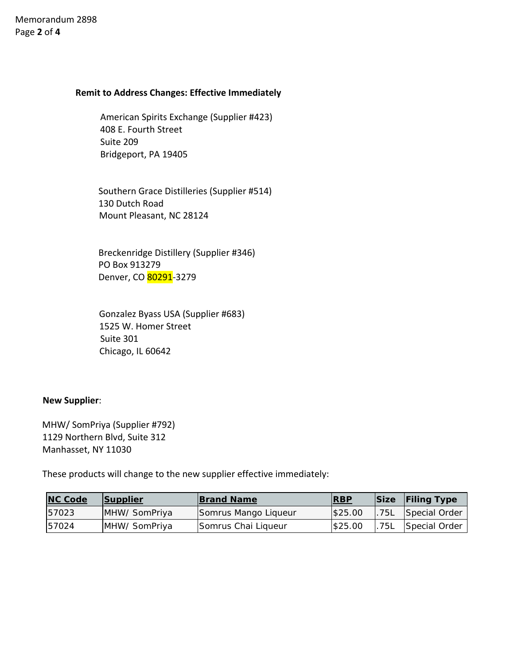# **Remit to Address Changes: Effective Immediately**

 American Spirits Exchange (Supplier #423) 408 E. Fourth Street Suite 209 Bridgeport, PA 19405

 Southern Grace Distilleries (Supplier #514) 130 Dutch Road Mount Pleasant, NC 28124

 Breckenridge Distillery (Supplier #346) PO Box 913279 Denver, CO 80291‐3279

 Gonzalez Byass USA (Supplier #683) 1525 W. Homer Street Suite 301 Chicago, IL 60642

# **New Supplier**:

 MHW/ SomPriya (Supplier #792) 1129 Northern Blvd, Suite 312 Manhasset, NY 11030

These products will change to the new supplier effective immediately:

| <b>NC Code</b> | Supplier      | <b>Brand Name</b>    | <b>RBP</b> |      | Size Filing Type |
|----------------|---------------|----------------------|------------|------|------------------|
| 157023         | MHW/ SomPriya | Somrus Mango Liqueur | \$25.00    | .75L | Special Order    |
| 157024         | MHW/ SomPriya | Somrus Chai Liqueur  | \$25.00    | .75L | Special Order    |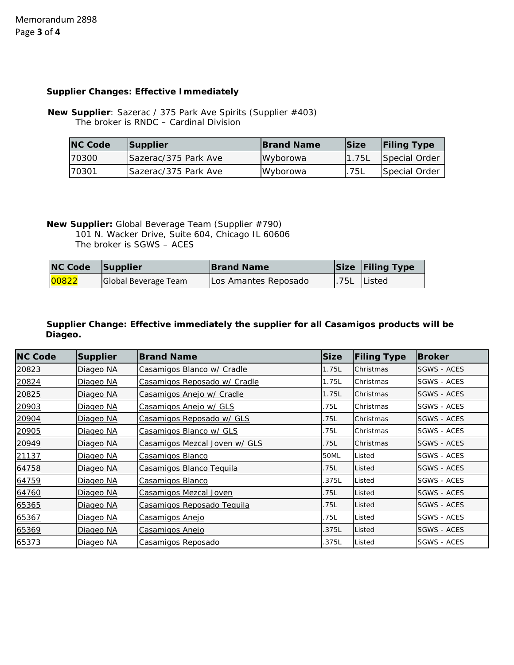## **Supplier Changes: Effective Immediately**

 **New Supplier**: Sazerac / 375 Park Ave Spirits (Supplier #403) The broker is RNDC – Cardinal Division

| <b>NC Code</b> | Supplier             | <b>Brand Name</b> | <b>Size</b> | <b>Filing Type</b> |
|----------------|----------------------|-------------------|-------------|--------------------|
| 70300          | Sazerac/375 Park Ave | Wyborowa          | 11.75L      | Special Order      |
| 70301          | Sazerac/375 Park Ave | Wyborowa          | <b>.75L</b> | Special Order      |

**New Supplier:** Global Beverage Team (Supplier #790)

 101 N. Wacker Drive, Suite 604, Chicago IL 60606 The broker is SGWS – ACES

| NC Code Supplier |                      | <b>Brand Name</b>    | Size Filing Type |
|------------------|----------------------|----------------------|------------------|
| 00822            | Global Beverage Team | Los Amantes Reposado | .75L Listed      |

# **Supplier Change: Effective immediately the supplier for all Casamigos products will be Diageo.**

| <b>NC Code</b> | Supplier  | <b>Brand Name</b>             | <b>Size</b> | <b>Filing Type</b> | <b>Broker</b>      |
|----------------|-----------|-------------------------------|-------------|--------------------|--------------------|
| 20823          | Diageo NA | Casamigos Blanco w/ Cradle    | 1.75L       | Christmas          | SGWS - ACES        |
| 20824          | Diageo NA | Casamigos Reposado w/ Cradle  | 1.75L       | Christmas          | SGWS - ACES        |
| 20825          | Diageo NA | Casamigos Anejo w/ Cradle     | 1.75L       | Christmas          | SGWS - ACES        |
| 20903          | Diageo NA | Casamigos Anejo w/ GLS        | .75L        | Christmas          | SGWS - ACES        |
| 20904          | Diageo NA | Casamigos Reposado w/ GLS     | .75L        | Christmas          | <b>SGWS - ACES</b> |
| 20905          | Diageo NA | Casamigos Blanco w/ GLS       | .75L        | Christmas          | SGWS - ACES        |
| 20949          | Diageo NA | Casamigos Mezcal Joven w/ GLS | .75L        | Christmas          | SGWS - ACES        |
| 21137          | Diageo NA | Casamigos Blanco              | 50ML        | Listed             | SGWS - ACES        |
| 64758          | Diageo NA | Casamigos Blanco Teguila      | .75L        | Listed             | SGWS - ACES        |
| 64759          | Diageo NA | Casamigos Blanco              | .375L       | Listed             | SGWS - ACES        |
| 64760          | Diageo NA | Casamigos Mezcal Joven        | .75L        | Listed             | <b>SGWS - ACES</b> |
| 65365          | Diageo NA | Casamigos Reposado Teguila    | .75L        | Listed             | SGWS - ACES        |
| 65367          | Diageo NA | Casamigos Anejo               | .75L        | Listed             | SGWS - ACES        |
| 65369          | Diageo NA | Casamigos Anejo               | .375L       | Listed             | <b>SGWS - ACES</b> |
| 65373          | Diageo NA | Casamigos Reposado            | .375L       | Listed             | SGWS - ACES        |